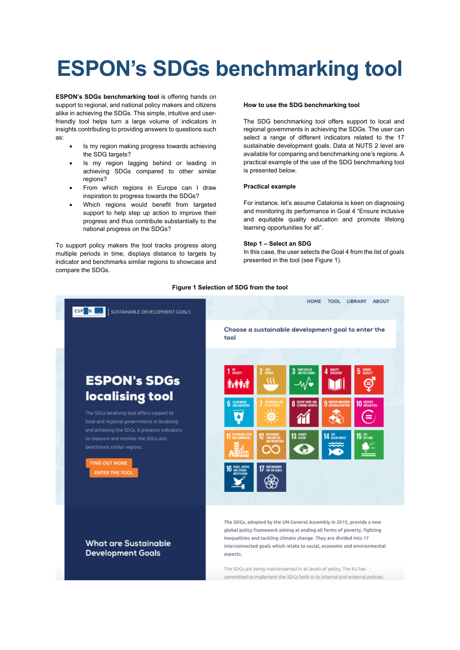# **ESPON's SDGs benchmarking tool**

**ESPON's SDGs benchmarking tool** is offering hands on support to regional, and national policy makers and citizens alike in achieving the SDGs. This simple, intuitive and userfriendly tool helps turn a large volume of indicators in insights contributing to providing answers to questions such as:

- Is my region making progress towards achieving the SDG targets?
- Is my region lagging behind or leading in achieving SDGs compared to other similar regions?
- From which regions in Europe can I draw inspiration to progress towards the SDGs?
- Which regions would benefit from targeted support to help step up action to improve their progress and thus contribute substantially to the national progress on the SDGs?

To support policy makers the tool tracks progress along multiple periods in time, displays distance to targets by indicator and benchmarks similar regions to showcase and compare the SDGs.

# **How to use the SDG benchmarking tool**

The SDG benchmarking tool offers support to local and regional governments in achieving the SDGs. The user can select a range of different indicators related to the 17 sustainable development goals. Data at NUTS 2 level are available for comparing and benchmarking one's regions. A practical example of the use of the SDG benchmarking tool is presented below.

### **Practical example**

For instance, let's assume Catalonia is keen on diagnosing and monitoring its performance in Goal 4 "Ensure inclusive and equitable quality education and promote lifelong learning opportunities for all".

#### **Step 1 – Select an SDG**

In this case, the user selects the Goal 4 from the list of goals presented in the tool (see Figure 1).



#### **Figure 1 Selection of SDG from the tool**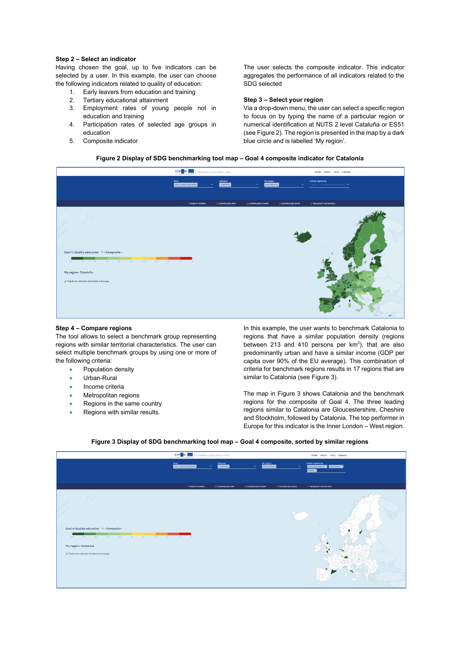# **Step 2 – Select an indicator**

Having chosen the goal, up to five indicators can be selected by a user. In this example, the user can choose the following indicators related to quality of education:

- 1. Early leavers from education and training
- 2. Tertiary educational attainment
- 3. Employment rates of young people not in education and training
- 4. Participation rates of selected age groups in education
- 5. Composite indicator

The user selects the composite indicator. This indicator aggregates the performance of all indicators related to the SDG selected

# **Step 3 – Select your region**

Via a drop-down menu, the user can select a specific region to focus on by typing the name of a particular region or numerical identification at NUTS 2 level Cataluña or ES51 (see Figure 2). The region is presented in the map by a dark blue circle and is labelled 'My region'.

# **Figure 2 Display of SDG benchmarking tool map – Goal 4 composite indicator for Catalonia**



#### **Step 4 – Compare regions**

The tool allows to select a benchmark group representing regions with similar territorial characteristics. The user can select multiple benchmark groups by using one or more of the following criteria:

- Population density
- Urban-Rural
- Income criteria
- **Metropolitan regions**
- Regions in the same country
- Regions with similar results.

In this example, the user wants to benchmark Catalonia to regions that have a similar population density (regions between 213 and 410 persons per  $km^2$ ), that are also predominantly urban and have a similar income (GDP per capita over 90% of the EU average). This combination of criteria for benchmark regions results in 17 regions that are similar to Catalonia (see Figure 3).

The map in Figure 3 shows Catalonia and the benchmark regions for the composite of Goal 4. The three leading regions similar to Catalonia are Gloucestershire, Cheshire and Stockholm, followed by Catalonia. The top performer in Europe for this indicator is the Inner London – West region.

|                                                                                                                                                                       | <b>ESP ON BACK SUSTAINABLE DEVELOPMENT GOALS</b> |                         |                                                |                 | HOME ABOUT TOOL LIBRARY                                                          |  |  |
|-----------------------------------------------------------------------------------------------------------------------------------------------------------------------|--------------------------------------------------|-------------------------|------------------------------------------------|-----------------|----------------------------------------------------------------------------------|--|--|
|                                                                                                                                                                       | SDGs<br>COAL 4 QUALITY EDUCATION<br>$\sim$       | Indicator<br>COMPOSITE- | My region<br>CATALURA (ESST)<br>$\mathbf{v}$ . | $\checkmark$    | Similar regions by<br>POPULATION DENSITY NO USAN BURAL NO<br>INCOME <sup>X</sup> |  |  |
|                                                                                                                                                                       | <b>ENOW IT WORKS</b>                             | <b>DOWNLOAD MAP</b>     | <b>G</b> DOWNLOAD CHART                        | O DOWNLOAD DATA | <b><i>PRELEVANT INITIATIVES</i></b>                                              |  |  |
| Goal 4: Quality education $\rightarrow$ - Composite -<br>100 90 00 70 00 30 40 10 20 10 0<br>My region: Cataluña<br>$\sigma$ Check out relevant initiatives in Europe |                                                  |                         |                                                |                 | c Br                                                                             |  |  |

#### **Figure 3 Display of SDG benchmarking tool map – Goal 4 composite, sorted by similar regions**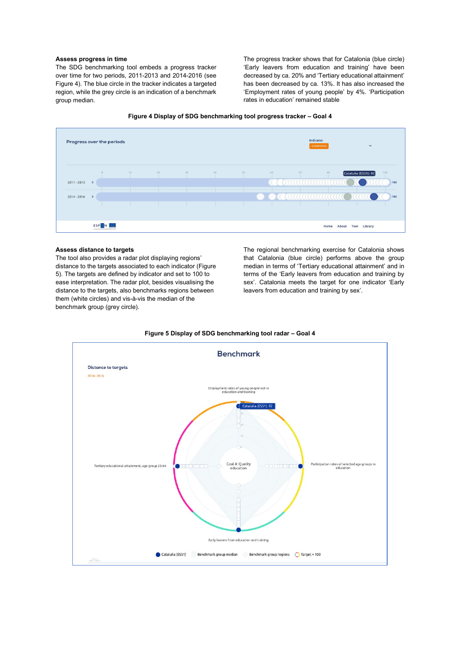# **Assess progress in time**

The SDG benchmarking tool embeds a progress tracker over time for two periods, 2011-2013 and 2014-2016 (see Figure 4). The blue circle in the tracker indicates a targeted region, while the grey circle is an indication of a benchmark group median.

The progress tracker shows that for Catalonia (blue circle) 'Early leavers from education and training' have been decreased by ca. 20% and 'Tertiary educational attainment' has been decreased by ca. 13%. It has also increased the 'Employment rates of young people' by 4%. 'Participation rates in education' remained stable





# **Assess distance to targets**

The tool also provides a radar plot displaying regions' distance to the targets associated to each indicator (Figure 5). The targets are defined by indicator and set to 100 to ease interpretation. The radar plot, besides visualising the distance to the targets, also benchmarks regions between them (white circles) and vis-à-vis the median of the benchmark group (grey circle).

The regional benchmarking exercise for Catalonia shows that Catalonia (blue circle) performs above the group median in terms of 'Tertiary educational attainment' and in terms of the 'Early leavers from education and training by sex'. Catalonia meets the target for one indicator 'Early leavers from education and training by sex'.



**Figure 5 Display of SDG benchmarking tool radar – Goal 4**